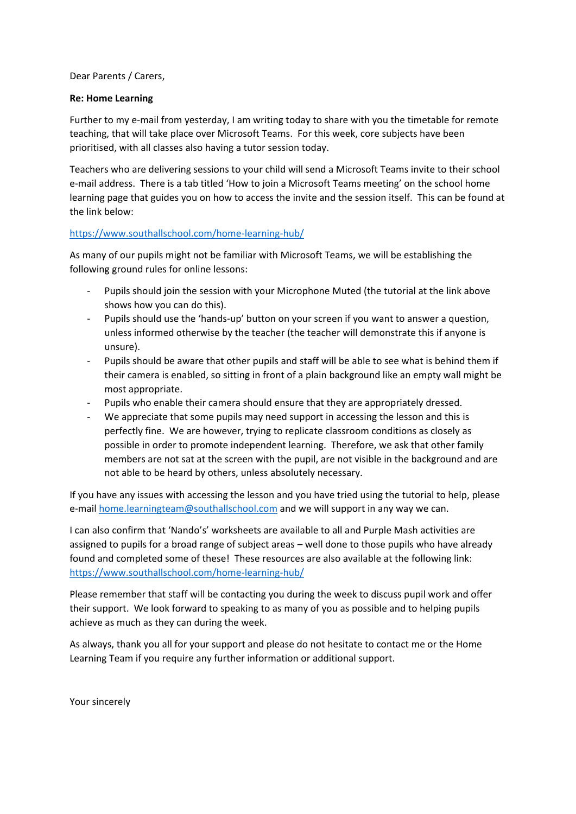Dear Parents / Carers,

## **Re: Home Learning**

Further to my e-mail from yesterday, I am writing today to share with you the timetable for remote teaching, that will take place over Microsoft Teams. For this week, core subjects have been prioritised, with all classes also having a tutor session today.

Teachers who are delivering sessions to your child will send a Microsoft Teams invite to their school e-mail address. There is a tab titled 'How to join a Microsoft Teams meeting' on the school home learning page that guides you on how to access the invite and the session itself. This can be found at the link below:

## <https://www.southallschool.com/home-learning-hub/>

As many of our pupils might not be familiar with Microsoft Teams, we will be establishing the following ground rules for online lessons:

- Pupils should join the session with your Microphone Muted (the tutorial at the link above shows how you can do this).
- Pupils should use the 'hands-up' button on your screen if you want to answer a question, unless informed otherwise by the teacher (the teacher will demonstrate this if anyone is unsure).
- Pupils should be aware that other pupils and staff will be able to see what is behind them if their camera is enabled, so sitting in front of a plain background like an empty wall might be most appropriate.
- Pupils who enable their camera should ensure that they are appropriately dressed.
- We appreciate that some pupils may need support in accessing the lesson and this is perfectly fine. We are however, trying to replicate classroom conditions as closely as possible in order to promote independent learning. Therefore, we ask that other family members are not sat at the screen with the pupil, are not visible in the background and are not able to be heard by others, unless absolutely necessary.

If you have any issues with accessing the lesson and you have tried using the tutorial to help, please e-mail [home.learningteam@southallschool.com](http://home.learningteam@southallschool.com) and we will support in any way we can.

I can also confirm that 'Nando's' worksheets are available to all and Purple Mash activities are assigned to pupils for a broad range of subject areas – well done to those pupils who have already found and completed some of these! These resources are also available at the following link: <https://www.southallschool.com/home-learning-hub/>

Please remember that staff will be contacting you during the week to discuss pupil work and offer their support. We look forward to speaking to as many of you as possible and to helping pupils achieve as much as they can during the week.

As always, thank you all for your support and please do not hesitate to contact me or the Home Learning Team if you require any further information or additional support.

Your sincerely